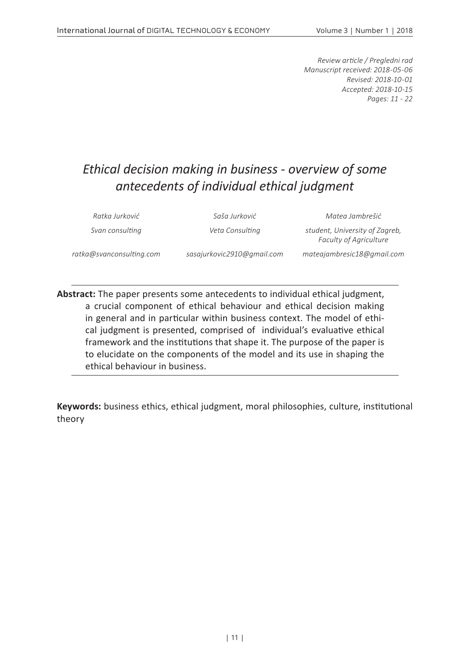*Review article / Pregledni rad Manuscript received: 2018-05-06 Revised: 2018-10-01 Accepted: 2018-10-15 Pages: 11 - 22*

## *Ethical decision making in business - overview of some antecedents of individual ethical judgment*

*Ratka Jurković Saša Jurković Matea Jambrešić*

*Svan consulting Veta Consulting student, University of Zagreb, Faculty of Agriculture*

*ratka@svanconsulting.com sasajurkovic2910@gmail.com mateajambresic18@gmail.com*

**Abstract:** The paper presents some antecedents to individual ethical judgment, a crucial component of ethical behaviour and ethical decision making in general and in particular within business context. The model of ethical judgment is presented, comprised of individual's evaluative ethical framework and the institutions that shape it. The purpose of the paper is to elucidate on the components of the model and its use in shaping the ethical behaviour in business.

**Keywords:** business ethics, ethical judgment, moral philosophies, culture, institutional theory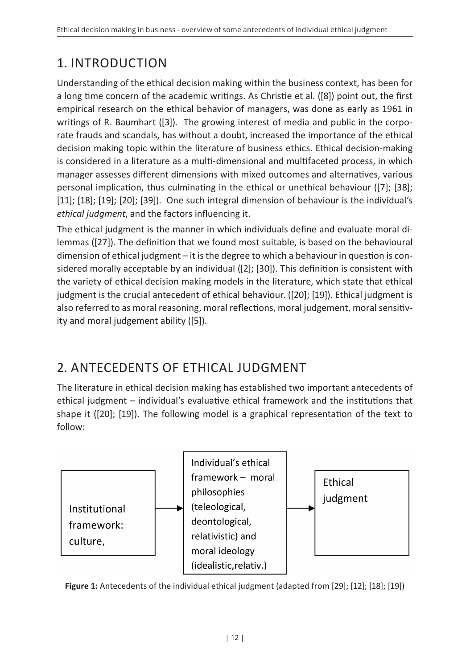# 1. INTRODUCTION

Understanding of the ethical decision making within the business context, has been for a long time concern of the academic writings. As Christie et al. ([8]) point out, the first empirical research on the ethical behavior of managers, was done as early as 1961 in writings of R. Baumhart ([3]). The growing interest of media and public in the corporate frauds and scandals, has without a doubt, increased the importance of the ethical decision making topic within the literature of business ethics. Ethical decision-making is considered in a literature as a multi-dimensional and multifaceted process, in which manager assesses different dimensions with mixed outcomes and alternatives, various personal implication, thus culminating in the ethical or unethical behaviour ([7]; [38]; [11]; [18]; [19]; [20]; [39]). One such integral dimension of behaviour is the individual's *ethical judgment*, and the factors influencing it.

The ethical judgment is the manner in which individuals define and evaluate moral dilemmas ([27]). The definition that we found most suitable, is based on the behavioural dimension of ethical judgment – it is the degree to which a behaviour in question is considered morally acceptable by an individual ([2]; [30]). This definition is consistent with the variety of ethical decision making models in the literature, which state that ethical judgment is the crucial antecedent of ethical behaviour. ([20]; [19]). Ethical judgment is also referred to as moral reasoning, moral reflections, moral judgement, moral sensitivity and moral judgement ability ([5]).

# 2. ANTECEDENTS OF ETHICAL JUDGMENT

The literature in ethical decision making has established two important antecedents of ethical judgment – individual's evaluative ethical framework and the institutions that shape it ([20]; [19]). The following model is a graphical representation of the text to follow:



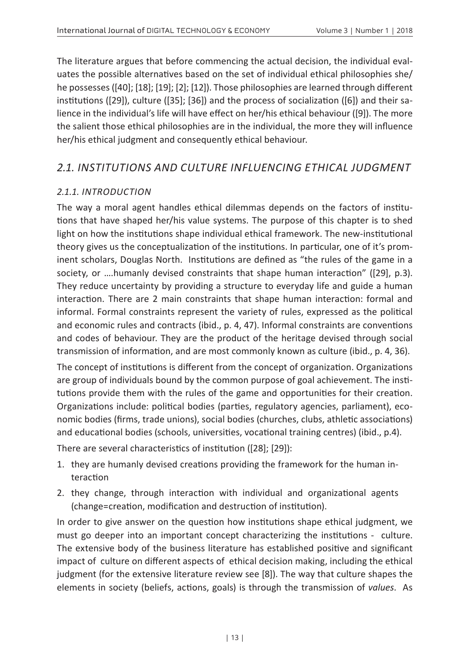The literature argues that before commencing the actual decision, the individual evaluates the possible alternatives based on the set of individual ethical philosophies she/ he possesses ([40]; [18]; [19]; [2]; [12]). Those philosophies are learned through different institutions ([29]), culture ([35]; [36]) and the process of socialization ([6]) and their salience in the individual's life will have effect on her/his ethical behaviour ([9]). The more the salient those ethical philosophies are in the individual, the more they will influence her/his ethical judgment and consequently ethical behaviour.

### *2.1. INSTITUTIONS AND CULTURE INFLUENCING ETHICAL JUDGMENT*

### *2.1.1. INTRODUCTION*

The way a moral agent handles ethical dilemmas depends on the factors of institutions that have shaped her/his value systems. The purpose of this chapter is to shed light on how the institutions shape individual ethical framework. The new-institutional theory gives us the conceptualization of the institutions. In particular, one of it's prominent scholars, Douglas North. Institutions are defined as "the rules of the game in a society, or ….humanly devised constraints that shape human interaction" ([29], p.3). They reduce uncertainty by providing a structure to everyday life and guide a human interaction. There are 2 main constraints that shape human interaction: formal and informal. Formal constraints represent the variety of rules, expressed as the political and economic rules and contracts (ibid., p. 4, 47). Informal constraints are conventions and codes of behaviour. They are the product of the heritage devised through social transmission of information, and are most commonly known as culture (ibid., p. 4, 36).

The concept of institutions is different from the concept of organization. Organizations are group of individuals bound by the common purpose of goal achievement. The institutions provide them with the rules of the game and opportunities for their creation. Organizations include: political bodies (parties, regulatory agencies, parliament), economic bodies (firms, trade unions), social bodies (churches, clubs, athletic associations) and educational bodies (schools, universities, vocational training centres) (ibid., p.4).

There are several characteristics of institution ([28]; [29]):

- 1. they are humanly devised creations providing the framework for the human interaction
- 2. they change, through interaction with individual and organizational agents (change=creation, modification and destruction of institution).

In order to give answer on the question how institutions shape ethical judgment, we must go deeper into an important concept characterizing the institutions - culture. The extensive body of the business literature has established positive and significant impact of culture on different aspects of ethical decision making, including the ethical judgment (for the extensive literature review see [8]). The way that culture shapes the elements in society (beliefs, actions, goals) is through the transmission of *values*. As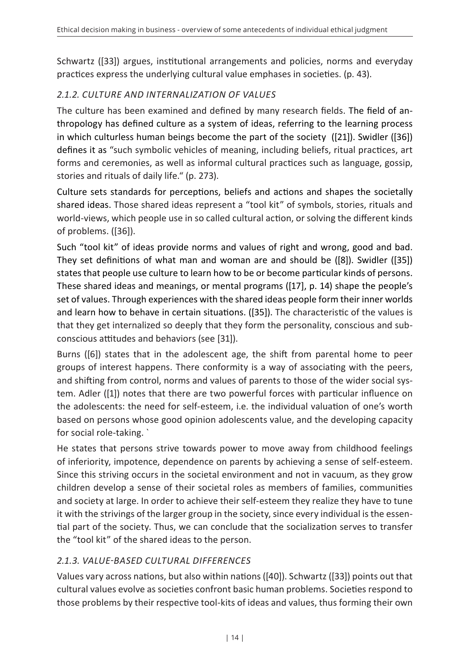Schwartz ([33]) argues, institutional arrangements and policies, norms and everyday practices express the underlying cultural value emphases in societies. (p. 43).

### *2.1.2. CULTURE AND INTERNALIZATION OF VALUES*

The culture has been examined and defined by many research fields. The field of anthropology has defined culture as a system of ideas, referring to the learning process in which culturless human beings become the part of the society ([21]). Swidler ([36]) defines it as "such symbolic vehicles of meaning, including beliefs, ritual practices, art forms and ceremonies, as well as informal cultural practices such as language, gossip, stories and rituals of daily life." (p. 273).

Culture sets standards for perceptions, beliefs and actions and shapes the societally shared ideas. Those shared ideas represent a "tool kit" of symbols, stories, rituals and world-views, which people use in so called cultural action, or solving the different kinds of problems. ([36]).

Such "tool kit" of ideas provide norms and values of right and wrong, good and bad. They set definitions of what man and woman are and should be ([8]). Swidler ([35]) states that people use culture to learn how to be or become particular kinds of persons. These shared ideas and meanings, or mental programs ([17], p. 14) shape the people's set of values. Through experiences with the shared ideas people form their inner worlds and learn how to behave in certain situations. ([35]). The characteristic of the values is that they get internalized so deeply that they form the personality, conscious and subconscious attitudes and behaviors (see [31]).

Burns ([6]) states that in the adolescent age, the shift from parental home to peer groups of interest happens. There conformity is a way of associating with the peers, and shifting from control, norms and values of parents to those of the wider social system. Adler ([1]) notes that there are two powerful forces with particular influence on the adolescents: the need for self-esteem, i.e. the individual valuation of one's worth based on persons whose good opinion adolescents value, and the developing capacity for social role-taking. `

He states that persons strive towards power to move away from childhood feelings of inferiority, impotence, dependence on parents by achieving a sense of self-esteem. Since this striving occurs in the societal environment and not in vacuum, as they grow children develop a sense of their societal roles as members of families, communities and society at large. In order to achieve their self-esteem they realize they have to tune it with the strivings of the larger group in the society, since every individual is the essential part of the society. Thus, we can conclude that the socialization serves to transfer the "tool kit" of the shared ideas to the person.

### *2.1.3. VALUE-BASED CULTURAL DIFFERENCES*

Values vary across nations, but also within nations ([40]). Schwartz ([33]) points out that cultural values evolve as societies confront basic human problems. Societies respond to those problems by their respective tool-kits of ideas and values, thus forming their own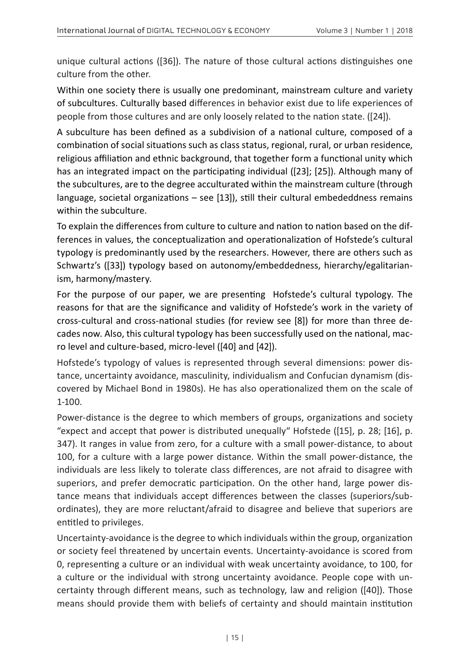unique cultural actions ([36]). The nature of those cultural actions distinguishes one culture from the other.

Within one society there is usually one predominant, mainstream culture and variety of subcultures. Culturally based differences in behavior exist due to life experiences of people from those cultures and are only loosely related to the nation state. ([24]).

A subculture has been defined as a subdivision of a national culture, composed of a combination of social situations such as class status, regional, rural, or urban residence, religious affiliation and ethnic background, that together form a functional unity which has an integrated impact on the participating individual ([23]; [25]). Although many of the subcultures, are to the degree acculturated within the mainstream culture (through language, societal organizations – see [13]), still their cultural embededdness remains within the subculture.

To explain the differences from culture to culture and nation to nation based on the differences in values, the conceptualization and operationalization of Hofstede's cultural typology is predominantly used by the researchers. However, there are others such as Schwartz's ([33]) typology based on autonomy/embeddedness, hierarchy/egalitarianism, harmony/mastery.

For the purpose of our paper, we are presenting Hofstede's cultural typology. The reasons for that are the significance and validity of Hofstede's work in the variety of cross-cultural and cross-national studies (for review see [8]) for more than three decades now. Also, this cultural typology has been successfully used on the national, macro level and culture-based, micro-level ([40] and [42]).

Hofstede's typology of values is represented through several dimensions: power distance, uncertainty avoidance, masculinity, individualism and Confucian dynamism (discovered by Michael Bond in 1980s). He has also operationalized them on the scale of 1-100.

Power-distance is the degree to which members of groups, organizations and society "expect and accept that power is distributed unequally" Hofstede ( $[15]$ , p. 28;  $[16]$ , p. 347). It ranges in value from zero, for a culture with a small power-distance, to about 100, for a culture with a large power distance. Within the small power-distance, the individuals are less likely to tolerate class differences, are not afraid to disagree with superiors, and prefer democratic participation. On the other hand, large power distance means that individuals accept differences between the classes (superiors/subordinates), they are more reluctant/afraid to disagree and believe that superiors are entitled to privileges.

Uncertainty-avoidance is the degree to which individuals within the group, organization or society feel threatened by uncertain events. Uncertainty-avoidance is scored from 0, representing a culture or an individual with weak uncertainty avoidance, to 100, for a culture or the individual with strong uncertainty avoidance. People cope with uncertainty through different means, such as technology, law and religion ([40]). Those means should provide them with beliefs of certainty and should maintain institution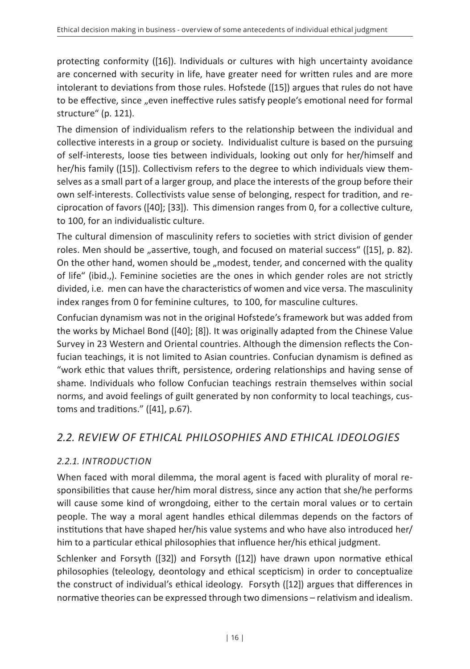protecting conformity ([16]). Individuals or cultures with high uncertainty avoidance are concerned with security in life, have greater need for written rules and are more intolerant to deviations from those rules. Hofstede ([15]) argues that rules do not have to be effective, since "even ineffective rules satisfy people's emotional need for formal structure" (p. 121).

The dimension of individualism refers to the relationship between the individual and collective interests in a group or society. Individualist culture is based on the pursuing of self-interests, loose ties between individuals, looking out only for her/himself and her/his family ([15]). Collectivism refers to the degree to which individuals view themselves as a small part of a larger group, and place the interests of the group before their own self-interests. Collectivists value sense of belonging, respect for tradition, and reciprocation of favors ([40]; [33]). This dimension ranges from 0, for a collective culture, to 100, for an individualistic culture.

The cultural dimension of masculinity refers to societies with strict division of gender roles. Men should be "assertive, tough, and focused on material success" ([15], p. 82). On the other hand, women should be "modest, tender, and concerned with the quality of life" (ibid.,). Feminine societies are the ones in which gender roles are not strictly divided, i.e. men can have the characteristics of women and vice versa. The masculinity index ranges from 0 for feminine cultures, to 100, for masculine cultures.

Confucian dynamism was not in the original Hofstede's framework but was added from the works by Michael Bond ([40]; [8]). It was originally adapted from the Chinese Value Survey in 23 Western and Oriental countries. Although the dimension reflects the Confucian teachings, it is not limited to Asian countries. Confucian dynamism is defined as "work ethic that values thrift, persistence, ordering relationships and having sense of shame. Individuals who follow Confucian teachings restrain themselves within social norms, and avoid feelings of guilt generated by non conformity to local teachings, customs and traditions." ([41], p.67).

### *2.2. REVIEW OF ETHICAL PHILOSOPHIES AND ETHICAL IDEOLOGIES*

### *2.2.1. INTRODUCTION*

When faced with moral dilemma, the moral agent is faced with plurality of moral responsibilities that cause her/him moral distress, since any action that she/he performs will cause some kind of wrongdoing, either to the certain moral values or to certain people. The way a moral agent handles ethical dilemmas depends on the factors of institutions that have shaped her/his value systems and who have also introduced her/ him to a particular ethical philosophies that influence her/his ethical judgment.

Schlenker and Forsyth ([32]) and Forsyth ([12]) have drawn upon normative ethical philosophies (teleology, deontology and ethical scepticism) in order to conceptualize the construct of individual's ethical ideology. Forsyth ([12]) argues that differences in normative theories can be expressed through two dimensions – relativism and idealism.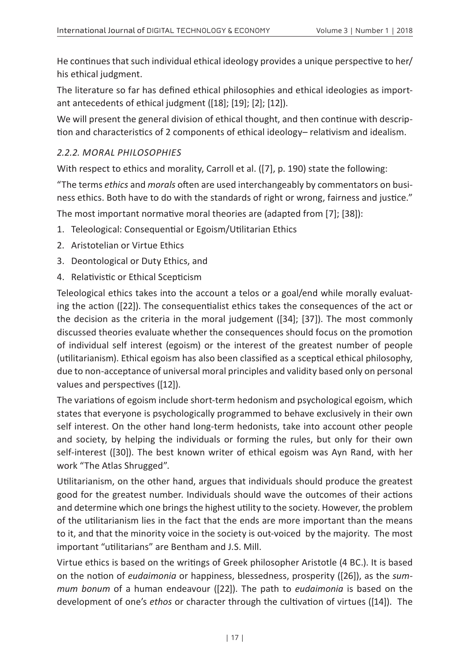He continues that such individual ethical ideology provides a unique perspective to her/ his ethical judgment.

The literature so far has defined ethical philosophies and ethical ideologies as important antecedents of ethical judgment ([18]; [19]; [2]; [12]).

We will present the general division of ethical thought, and then continue with description and characteristics of 2 components of ethical ideology– relativism and idealism.

#### *2.2.2. MORAL PHILOSOPHIES*

With respect to ethics and morality, Carroll et al. ([7], p. 190) state the following:

"The terms *ethics* and *morals* often are used interchangeably by commentators on business ethics. Both have to do with the standards of right or wrong, fairness and justice."

The most important normative moral theories are (adapted from [7]; [38]):

- 1. Teleological: Consequential or Egoism/Utilitarian Ethics
- 2. Aristotelian or Virtue Ethics
- 3. Deontological or Duty Ethics, and
- 4. Relativistic or Ethical Scepticism

Teleological ethics takes into the account a telos or a goal/end while morally evaluating the action ([22]). The consequentialist ethics takes the consequences of the act or the decision as the criteria in the moral judgement ([34]; [37]). The most commonly discussed theories evaluate whether the consequences should focus on the promotion of individual self interest (egoism) or the interest of the greatest number of people (utilitarianism). Ethical egoism has also been classified as a sceptical ethical philosophy, due to non-acceptance of universal moral principles and validity based only on personal values and perspectives ([12]).

The variations of egoism include short-term hedonism and psychological egoism, which states that everyone is psychologically programmed to behave exclusively in their own self interest. On the other hand long-term hedonists, take into account other people and society, by helping the individuals or forming the rules, but only for their own self-interest ([30]). The best known writer of ethical egoism was Ayn Rand, with her work "The Atlas Shrugged".

Utilitarianism, on the other hand, argues that individuals should produce the greatest good for the greatest number. Individuals should wave the outcomes of their actions and determine which one brings the highest utility to the society. However, the problem of the utilitarianism lies in the fact that the ends are more important than the means to it, and that the minority voice in the society is out-voiced by the majority. The most important "utilitarians" are Bentham and J.S. Mill.

Virtue ethics is based on the writings of Greek philosopher Aristotle (4 BC.). It is based on the notion of *eudaimonia* or happiness, blessedness, prosperity ([26]), as the *summum bonum* of a human endeavour ([22]). The path to *eudaimonia* is based on the development of one's *ethos* or character through the cultivation of virtues ([14]). The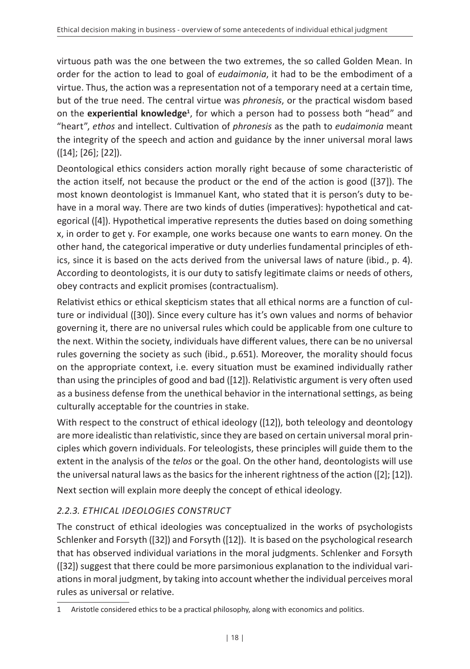virtuous path was the one between the two extremes, the so called Golden Mean. In order for the action to lead to goal of *eudaimonia*, it had to be the embodiment of a virtue. Thus, the action was a representation not of a temporary need at a certain time, but of the true need. The central virtue was *phronesis*, or the practical wisdom based on the **experiential knowledge<sup>1</sup>** , for which a person had to possess both "head" and "heart", *ethos* and intellect. Cultivation of *phronesis* as the path to *eudaimonia* meant the integrity of the speech and action and guidance by the inner universal moral laws ([14]; [26]; [22]).

Deontological ethics considers action morally right because of some characteristic of the action itself, not because the product or the end of the action is good ([37]). The most known deontologist is Immanuel Kant, who stated that it is person's duty to behave in a moral way. There are two kinds of duties (imperatives): hypothetical and categorical ([4]). Hypothetical imperative represents the duties based on doing something x, in order to get y. For example, one works because one wants to earn money. On the other hand, the categorical imperative or duty underlies fundamental principles of ethics, since it is based on the acts derived from the universal laws of nature (ibid., p. 4). According to deontologists, it is our duty to satisfy legitimate claims or needs of others, obey contracts and explicit promises (contractualism).

Relativist ethics or ethical skepticism states that all ethical norms are a function of culture or individual ([30]). Since every culture has it's own values and norms of behavior governing it, there are no universal rules which could be applicable from one culture to the next. Within the society, individuals have different values, there can be no universal rules governing the society as such (ibid., p.651). Moreover, the morality should focus on the appropriate context, i.e. every situation must be examined individually rather than using the principles of good and bad ([12]). Relativistic argument is very often used as a business defense from the unethical behavior in the international settings, as being culturally acceptable for the countries in stake.

With respect to the construct of ethical ideology ([12]), both teleology and deontology are more idealistic than relativistic, since they are based on certain universal moral principles which govern individuals. For teleologists, these principles will guide them to the extent in the analysis of the *telos* or the goal. On the other hand, deontologists will use the universal natural laws as the basics for the inherent rightness of the action ([2]; [12]). Next section will explain more deeply the concept of ethical ideology.

### *2.2.3. ETHICAL IDEOLOGIES CONSTRUCT*

The construct of ethical ideologies was conceptualized in the works of psychologists Schlenker and Forsyth ([32]) and Forsyth ([12]). It is based on the psychological research that has observed individual variations in the moral judgments. Schlenker and Forsyth ([32]) suggest that there could be more parsimonious explanation to the individual variations in moral judgment, by taking into account whether the individual perceives moral rules as universal or relative.

<sup>1</sup> Aristotle considered ethics to be a practical philosophy, along with economics and politics.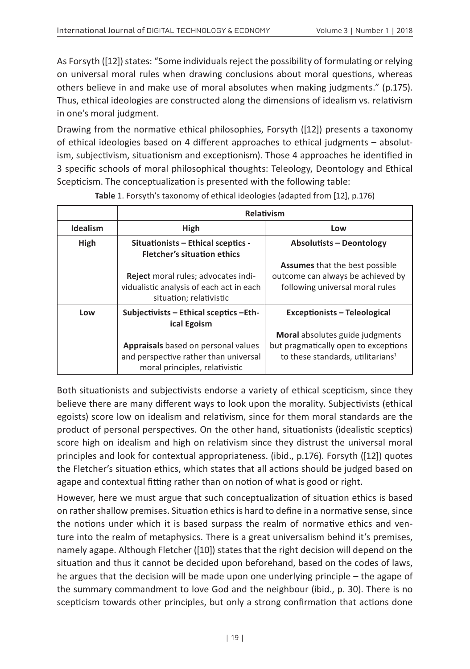As Forsyth ([12]) states: "Some individuals reject the possibility of formulating or relying on universal moral rules when drawing conclusions about moral questions, whereas others believe in and make use of moral absolutes when making judgments." (p.175). Thus, ethical ideologies are constructed along the dimensions of idealism vs. relativism in one's moral judgment.

Drawing from the normative ethical philosophies, Forsyth ([12]) presents a taxonomy of ethical ideologies based on 4 different approaches to ethical judgments – absolutism, subjectivism, situationism and exceptionism). Those 4 approaches he identified in 3 specific schools of moral philosophical thoughts: Teleology, Deontology and Ethical Scepticism. The conceptualization is presented with the following table:

|                 | Relativism                                                                                                     |                                                                                                               |
|-----------------|----------------------------------------------------------------------------------------------------------------|---------------------------------------------------------------------------------------------------------------|
| <b>Idealism</b> | High                                                                                                           | Low                                                                                                           |
| High            | Situationists - Ethical sceptics -<br><b>Fletcher's situation ethics</b>                                       | <b>Absolutists - Deontology</b>                                                                               |
|                 | Reject moral rules; advocates indi-<br>vidualistic analysis of each act in each<br>situation; relativistic     | <b>Assumes</b> that the best possible<br>outcome can always be achieved by<br>following universal moral rules |
| Low             | Subjectivists - Ethical sceptics - Eth-<br>ical Egoism                                                         | <b>Exceptionists - Teleological</b>                                                                           |
|                 |                                                                                                                | Moral absolutes guide judgments                                                                               |
|                 | Appraisals based on personal values<br>and perspective rather than universal<br>moral principles, relativistic | but pragmatically open to exceptions<br>to these standards, utilitarians <sup>1</sup>                         |

#### **Table** 1. Forsyth's taxonomy of ethical ideologies (adapted from [12], p.176)

Both situationists and subjectivists endorse a variety of ethical scepticism, since they believe there are many different ways to look upon the morality. Subjectivists (ethical egoists) score low on idealism and relativism, since for them moral standards are the product of personal perspectives. On the other hand, situationists (idealistic sceptics) score high on idealism and high on relativism since they distrust the universal moral principles and look for contextual appropriateness. (ibid., p.176). Forsyth ([12]) quotes the Fletcher's situation ethics, which states that all actions should be judged based on agape and contextual fitting rather than on notion of what is good or right.

However, here we must argue that such conceptualization of situation ethics is based on rather shallow premises. Situation ethics is hard to define in a normative sense, since the notions under which it is based surpass the realm of normative ethics and venture into the realm of metaphysics. There is a great universalism behind it's premises, namely agape. Although Fletcher ([10]) states that the right decision will depend on the situation and thus it cannot be decided upon beforehand, based on the codes of laws, he argues that the decision will be made upon one underlying principle – the agape of the summary commandment to love God and the neighbour (ibid., p. 30). There is no scepticism towards other principles, but only a strong confirmation that actions done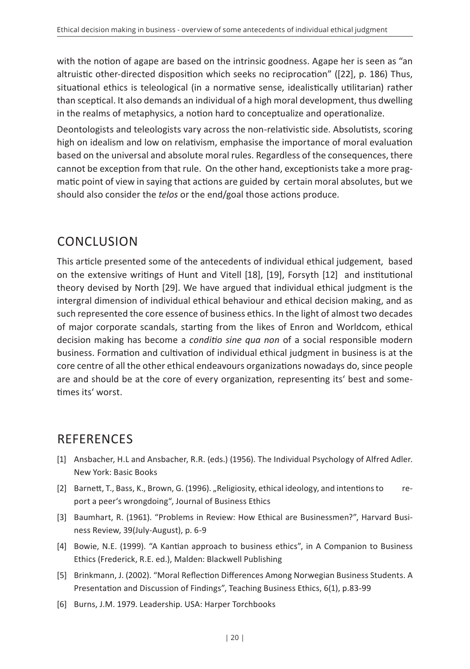with the notion of agape are based on the intrinsic goodness. Agape her is seen as "an altruistic other-directed disposition which seeks no reciprocation" ([22], p. 186) Thus, situational ethics is teleological (in a normative sense, idealistically utilitarian) rather than sceptical. It also demands an individual of a high moral development, thus dwelling in the realms of metaphysics, a notion hard to conceptualize and operationalize.

Deontologists and teleologists vary across the non-relativistic side. Absolutists, scoring high on idealism and low on relativism, emphasise the importance of moral evaluation based on the universal and absolute moral rules. Regardless of the consequences, there cannot be exception from that rule. On the other hand, exceptionists take a more pragmatic point of view in saying that actions are guided by certain moral absolutes, but we should also consider the *telos* or the end/goal those actions produce.

## CONCLUSION

This article presented some of the antecedents of individual ethical judgement, based on the extensive writings of Hunt and Vitell [18], [19], Forsyth [12] and institutional theory devised by North [29]. We have argued that individual ethical judgment is the intergral dimension of individual ethical behaviour and ethical decision making, and as such represented the core essence of business ethics. In the light of almost two decades of major corporate scandals, starting from the likes of Enron and Worldcom, ethical decision making has become a *conditio sine qua non* of a social responsible modern business. Formation and cultivation of individual ethical judgment in business is at the core centre of all the other ethical endeavours organizations nowadays do, since people are and should be at the core of every organization, representing its' best and sometimes its' worst.

## **REFERENCES**

- [1] Ansbacher, H.L and Ansbacher, R.R. (eds.) (1956). The Individual Psychology of Alfred Adler. New York: Basic Books
- [2] Barnett, T., Bass, K., Brown, G. (1996). "Religiosity, ethical ideology, and intentions to report a peer's wrongdoing", Journal of Business Ethics
- [3] Baumhart, R. (1961). "Problems in Review: How Ethical are Businessmen?", Harvard Business Review, 39(July-August), p. 6-9
- [4] Bowie, N.E. (1999). "A Kantian approach to business ethics", in A Companion to Business Ethics (Frederick, R.E. ed.), Malden: Blackwell Publishing
- [5] Brinkmann, J. (2002). "Moral Reflection Differences Among Norwegian Business Students. A Presentation and Discussion of Findings", Teaching Business Ethics, 6(1), p.83-99
- [6] Burns, J.M. 1979. Leadership. USA: Harper Torchbooks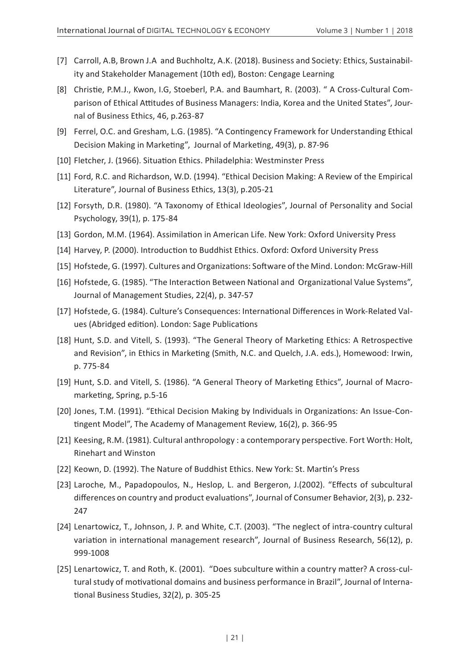- [7] Carroll, A.B, Brown J.A and Buchholtz, A.K. (2018). Business and Society: Ethics, Sustainability and Stakeholder Management (10th ed), Boston: Cengage Learning
- [8] Christie, P.M.J., Kwon, I.G, Stoeberl, P.A. and Baumhart, R. (2003). " A Cross-Cultural Comparison of Ethical Attitudes of Business Managers: India, Korea and the United States", Journal of Business Ethics, 46, p.263-87
- [9] Ferrel, O.C. and Gresham, L.G. (1985). "A Contingency Framework for Understanding Ethical Decision Making in Marketing", Journal of Marketing, 49(3), p. 87-96
- [10] Fletcher, J. (1966). Situation Ethics. Philadelphia: Westminster Press
- [11] Ford, R.C. and Richardson, W.D. (1994). "Ethical Decision Making: A Review of the Empirical Literature", Journal of Business Ethics, 13(3), p.205-21
- [12] Forsyth, D.R. (1980). "A Taxonomy of Ethical Ideologies", Journal of Personality and Social Psychology, 39(1), p. 175-84
- [13] Gordon, M.M. (1964). Assimilation in American Life. New York: Oxford University Press
- [14] Harvey, P. (2000). Introduction to Buddhist Ethics. Oxford: Oxford University Press
- [15] Hofstede, G. (1997). Cultures and Organizations: Software of the Mind. London: McGraw-Hill
- [16] Hofstede, G. (1985). "The Interaction Between National and Organizational Value Systems", Journal of Management Studies, 22(4), p. 347-57
- [17] Hofstede, G. (1984). Culture's Consequences: International Differences in Work-Related Values (Abridged edition). London: Sage Publications
- [18] Hunt, S.D. and Vitell, S. (1993). "The General Theory of Marketing Ethics: A Retrospective and Revision", in Ethics in Marketing (Smith, N.C. and Quelch, J.A. eds.), Homewood: Irwin, p. 775-84
- [19] Hunt, S.D. and Vitell, S. (1986). "A General Theory of Marketing Ethics", Journal of Macromarketing, Spring, p.5-16
- [20] Jones, T.M. (1991). "Ethical Decision Making by Individuals in Organizations: An Issue-Contingent Model", The Academy of Management Review, 16(2), p. 366-95
- [21] Keesing, R.M. (1981). Cultural anthropology : a contemporary perspective. Fort Worth: Holt, Rinehart and Winston
- [22] Keown, D. (1992). The Nature of Buddhist Ethics. New York: St. Martin's Press
- [23] Laroche, M., Papadopoulos, N., Heslop, L. and Bergeron, J.(2002). "Effects of subcultural differences on country and product evaluations", Journal of Consumer Behavior, 2(3), p. 232- 247
- [24] Lenartowicz, T., Johnson, J. P. and White, C.T. (2003). "The neglect of intra-country cultural variation in international management research", Journal of Business Research, 56(12), p. 999-1008
- [25] Lenartowicz, T. and Roth, K. (2001). "Does subculture within a country matter? A cross-cultural study of motivational domains and business performance in Brazil", Journal of International Business Studies, 32(2), p. 305-25